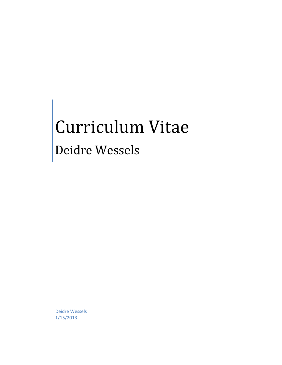## Curriculum Vitae

## Deidre Wessels

Deidre Wessels 1/15/2013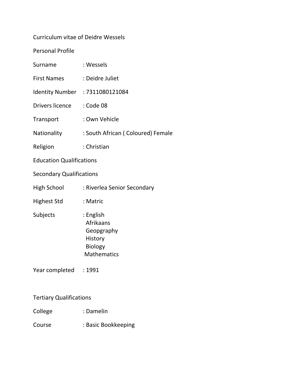## Curriculum vitae of Deidre Wessels

Personal Profile

| Surname                         | : Wessels                                                                        |  |  |  |
|---------------------------------|----------------------------------------------------------------------------------|--|--|--|
| <b>First Names</b>              | : Deidre Juliet                                                                  |  |  |  |
|                                 | Identity Number : 7311080121084                                                  |  |  |  |
| Drivers licence                 | : Code 08                                                                        |  |  |  |
| Transport                       | : Own Vehicle                                                                    |  |  |  |
| Nationality                     | : South African (Coloured) Female                                                |  |  |  |
| Religion                        | : Christian                                                                      |  |  |  |
| <b>Education Qualifications</b> |                                                                                  |  |  |  |
| <b>Secondary Qualifications</b> |                                                                                  |  |  |  |
| <b>High School</b>              | : Riverlea Senior Secondary                                                      |  |  |  |
| <b>Highest Std</b>              | : Matric                                                                         |  |  |  |
| Subjects                        | : English<br>Afrikaans<br>Geopgraphy<br>History<br>Biology<br><b>Mathematics</b> |  |  |  |
| Year completed : 1991           |                                                                                  |  |  |  |
| <b>Tertiary Qualifications</b>  |                                                                                  |  |  |  |
| College                         | : Damelin                                                                        |  |  |  |

Course : Basic Bookkeeping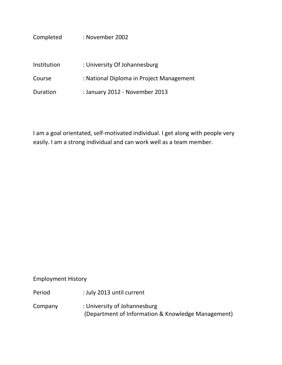| Completed   | : November 2002                          |
|-------------|------------------------------------------|
| Institution | : University Of Johannesburg             |
| Course      | : National Diploma in Project Management |
| Duration    | : January 2012 - November 2013           |

I am a goal orientated, self-motivated individual. I get along with people very easily. I am a strong individual and can work well as a team member.

Employment History

Period : July 2013 until current

Company : University of Johannesburg (Department of Information & Knowledge Management)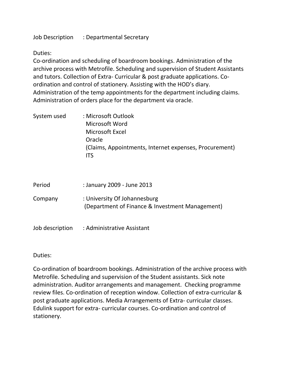Job Description : Departmental Secretary

Duties:

Co-ordination and scheduling of boardroom bookings. Administration of the archive process with Metrofile. Scheduling and supervision of Student Assistants and tutors. Collection of Extra- Curricular & post graduate applications. Coordination and control of stationery. Assisting with the HOD's diary. Administration of the temp appointments for the department including claims. Administration of orders place for the department via oracle.

| System used | : Microsoft Outlook                                           |
|-------------|---------------------------------------------------------------|
|             | Microsoft Word                                                |
|             | Microsoft Excel                                               |
|             | Oracle                                                        |
|             | (Claims, Appointments, Internet expenses, Procurement)<br>IT۲ |

| Period  | : January 2009 - June 2013                                                      |
|---------|---------------------------------------------------------------------------------|
| Company | : University Of Johannesburg<br>(Department of Finance & Investment Management) |

Job description : Administrative Assistant

Duties:

Co-ordination of boardroom bookings. Administration of the archive process with Metrofile. Scheduling and supervision of the Student assistants. Sick note administration. Auditor arrangements and management. Checking programme review files. Co-ordination of reception window. Collection of extra-curricular & post graduate applications. Media Arrangements of Extra- curricular classes. Edulink support for extra- curricular courses. Co-ordination and control of stationery.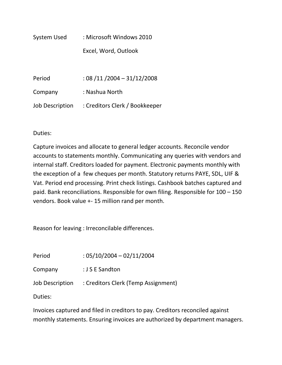System Used : Microsoft Windows 2010 Excel, Word, Outlook

Period : 08 /11 /2004 – 31/12/2008 Company : Nashua North Job Description : Creditors Clerk / Bookkeeper

Duties:

Capture invoices and allocate to general ledger accounts. Reconcile vendor accounts to statements monthly. Communicating any queries with vendors and internal staff. Creditors loaded for payment. Electronic payments monthly with the exception of a few cheques per month. Statutory returns PAYE, SDL, UIF & Vat. Period end processing. Print check listings. Cashbook batches captured and paid. Bank reconciliations. Responsible for own filing. Responsible for 100 – 150 vendors. Book value +- 15 million rand per month.

Reason for leaving : Irreconcilable differences.

Period : 05/10/2004 – 02/11/2004

Company : J S E Sandton

Job Description : Creditors Clerk (Temp Assignment)

Duties:

Invoices captured and filed in creditors to pay. Creditors reconciled against monthly statements. Ensuring invoices are authorized by department managers.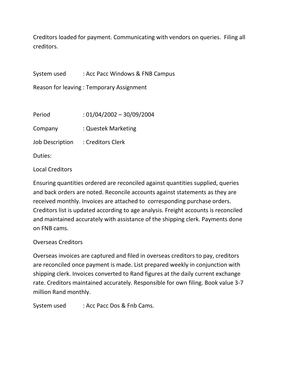Creditors loaded for payment. Communicating with vendors on queries. Filing all creditors.

System used : Acc Pacc Windows & FNB Campus

Reason for leaving : Temporary Assignment

Period : 01/04/2002 – 30/09/2004 Company : Questek Marketing

Job Description : Creditors Clerk

Duties:

Local Creditors

Ensuring quantities ordered are reconciled against quantities supplied, queries and back orders are noted. Reconcile accounts against statements as they are received monthly. Invoices are attached to corresponding purchase orders. Creditors list is updated according to age analysis. Freight accounts is reconciled and maintained accurately with assistance of the shipping clerk. Payments done on FNB cams.

## Overseas Creditors

Overseas invoices are captured and filed in overseas creditors to pay, creditors are reconciled once payment is made. List prepared weekly in conjunction with shipping clerk. Invoices converted to Rand figures at the daily current exchange rate. Creditors maintained accurately. Responsible for own filing. Book value 3-7 million Rand monthly.

System used : Acc Pacc Dos & Fnb Cams.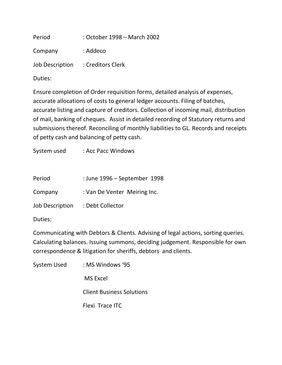Period : October 1998 – March 2002

Company : Addeco

Job Description : Creditors Clerk

Duties:

Ensure completion of Order requisition forms, detailed analysis of expenses, accurate allocations of costs to general ledger accounts. Filing of batches, accurate listing and capture of creditors. Collection of incoming mail, distribution of mail, banking of cheques. Assist in detailed recording of Statutory returns and submissions thereof. Reconciling of monthly liabilities to GL. Records and receipts of petty cash and balancing of petty cash.

System used : Acc Pacc Windows

- Period : June 1996 September 1998
- Company : Van De Venter Meiring Inc.

Job Description : Debt Collector

Duties:

Communicating with Debtors & Clients. Advising of legal actions, sorting queries. Calculating balances. Issuing summons, deciding judgement. Responsible for own correspondence & litigation for sheriffs, debtors and clients.

System Used : MS Windows '95 MS Excel Client Business Solutions Flexi Trace ITC